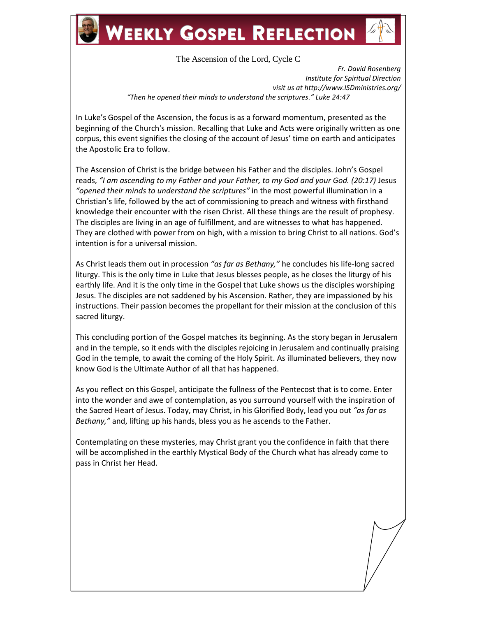## **WEEKLY GOSPEL REFLECTION**

The Ascension of the Lord, Cycle C

*Fr. David Rosenberg Institute for Spiritual Direction visit us at http://www.ISDministries.org/ "Then he opened their minds to understand the scriptures." Luke 24:47*

In Luke's Gospel of the Ascension, the focus is as a forward momentum, presented as the beginning of the Church's mission. Recalling that Luke and Acts were originally written as one corpus, this event signifies the closing of the account of Jesus' time on earth and anticipates the Apostolic Era to follow.

The Ascension of Christ is the bridge between his Father and the disciples. John's Gospel reads, *"I am ascending to my Father and your Father, to my God and your God. (20:17)* Jesus *"opened their minds to understand the scriptures"* in the most powerful illumination in a Christian's life, followed by the act of commissioning to preach and witness with firsthand knowledge their encounter with the risen Christ. All these things are the result of prophesy. The disciples are living in an age of fulfillment, and are witnesses to what has happened. They are clothed with power from on high, with a mission to bring Christ to all nations. God's intention is for a universal mission.

As Christ leads them out in procession *"as far as Bethany,"* he concludes his life-long sacred liturgy. This is the only time in Luke that Jesus blesses people, as he closes the liturgy of his earthly life. And it is the only time in the Gospel that Luke shows us the disciples worshiping Jesus. The disciples are not saddened by his Ascension. Rather, they are impassioned by his instructions. Their passion becomes the propellant for their mission at the conclusion of this sacred liturgy.

This concluding portion of the Gospel matches its beginning. As the story began in Jerusalem and in the temple, so it ends with the disciples rejoicing in Jerusalem and continually praising God in the temple, to await the coming of the Holy Spirit. As illuminated believers, they now know God is the Ultimate Author of all that has happened.

As you reflect on this Gospel, anticipate the fullness of the Pentecost that is to come. Enter into the wonder and awe of contemplation, as you surround yourself with the inspiration of the Sacred Heart of Jesus. Today, may Christ, in his Glorified Body, lead you out *"as far as Bethany,"* and, lifting up his hands, bless you as he ascends to the Father.

Contemplating on these mysteries, may Christ grant you the confidence in faith that there will be accomplished in the earthly Mystical Body of the Church what has already come to pass in Christ her Head.